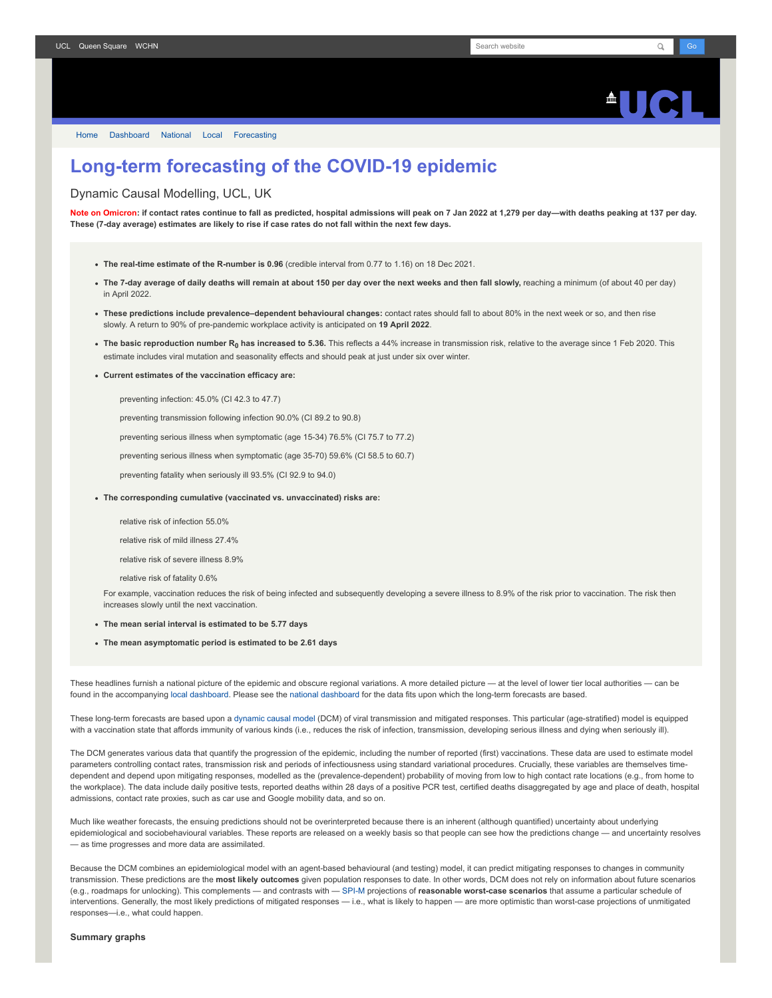

# **Long-term forecasting of the COVID-19 epidemic**

Dynamic Causal Modelling, UCL, UK

**Note on Omicron: if contact rates continue to fall as predicted, hospital admissions will peak on 7 Jan 2022 at 1,279 per day—with deaths peaking at 137 per day. These (7-day average) estimates are likely to rise if case rates do not fall within the next few days.**

- **The real-time estimate of the R-number is 0.96** (credible interval from 0.77 to 1.16) on 18 Dec 2021.
- **The 7-day average of daily deaths will remain at about 150 per day over the next weeks and then fall slowly,** reaching a minimum (of about 40 per day) in April 2022.
- **These predictions include prevalence–dependent behavioural changes:** contact rates should fall to about 80% in the next week or so, and then rise slowly. A return to 90% of pre-pandemic workplace activity is anticipated on **19 April 2022**.
- **The basic reproduction number R<sup>0</sup> has increased to 5.36.** This reflects a 44% increase in transmission risk, relative to the average since 1 Feb 2020. This estimate includes viral mutation and seasonality effects and should peak at just under six over winter.
- **Current estimates of the vaccination efficacy are:**

preventing infection: 45.0% (CI 42.3 to 47.7)

preventing transmission following infection 90.0% (CI 89.2 to 90.8)

preventing serious illness when symptomatic (age 15-34) 76.5% (CI 75.7 to 77.2)

preventing serious illness when symptomatic (age 35-70) 59.6% (CI 58.5 to 60.7)

preventing fatality when seriously ill 93.5% (CI 92.9 to 94.0)

**The corresponding cumulative (vaccinated vs. unvaccinated) risks are:**

relative risk of infection 55.0%

relative risk of mild illness 27.4%

relative risk of severe illness 8.9%

relative risk of fatality 0.6%

For example, vaccination reduces the risk of being infected and subsequently developing a severe illness to 8.9% of the risk prior to vaccination. The risk then increases slowly until the next vaccination.

- **The mean serial interval is estimated to be 5.77 days**
- **The mean asymptomatic period is estimated to be 2.61 days**

These headlines furnish a national picture of the epidemic and obscure regional variations. A more detailed picture — at the level of lower tier local authorities — can be found in the accompanying [local dashboard](https://www.fil.ion.ucl.ac.uk/spm/covid-19/dashboard/local/). Please see the [national dashboard](https://www.fil.ion.ucl.ac.uk/spm/covid-19/dashboard/) for the data fits upon which the long-term forecasts are based.

These long-term forecasts are based upon a [dynamic causal model](https://www.fil.ion.ucl.ac.uk/spm/covid-19) (DCM) of viral transmission and mitigated responses. This particular (age-stratified) model is equipped with a vaccination state that affords immunity of various kinds (i.e., reduces the risk of infection, transmission, developing serious illness and dying when seriously ill).

The DCM generates various data that quantify the progression of the epidemic, including the number of reported (first) vaccinations. These data are used to estimate model parameters controlling contact rates, transmission risk and periods of infectiousness using standard variational procedures. Crucially, these variables are themselves timedependent and depend upon mitigating responses, modelled as the (prevalence-dependent) probability of moving from low to high contact rate locations (e.g., from home to the workplace). The data include daily positive tests, reported deaths within 28 days of a positive PCR test, certified deaths disaggregated by age and place of death, hospital admissions, contact rate proxies, such as car use and Google mobility data, and so on.

Much like weather forecasts, the ensuing predictions should not be overinterpreted because there is an inherent (although quantified) uncertainty about underlying epidemiological and sociobehavioural variables. These reports are released on a weekly basis so that people can see how the predictions change — and uncertainty resolves — as time progresses and more data are assimilated.

Because the DCM combines an epidemiological model with an agent-based behavioural (and testing) model, it can predict mitigating responses to changes in community transmission. These predictions are the **most likely outcomes** given population responses to date. In other words, DCM does not rely on information about future scenarios (e.g., roadmaps for unlocking). This complements — and contrasts with — [SPI-M](https://www.gov.uk/government/groups/scientific-pandemic-influenza-subgroup-on-modelling) projections of **reasonable worst-case scenarios** that assume a particular schedule of interventions. Generally, the most likely predictions of mitigated responses — i.e., what is likely to happen — are more optimistic than worst-case projections of unmitigated responses—i.e., what could happen.

## **Summary graphs**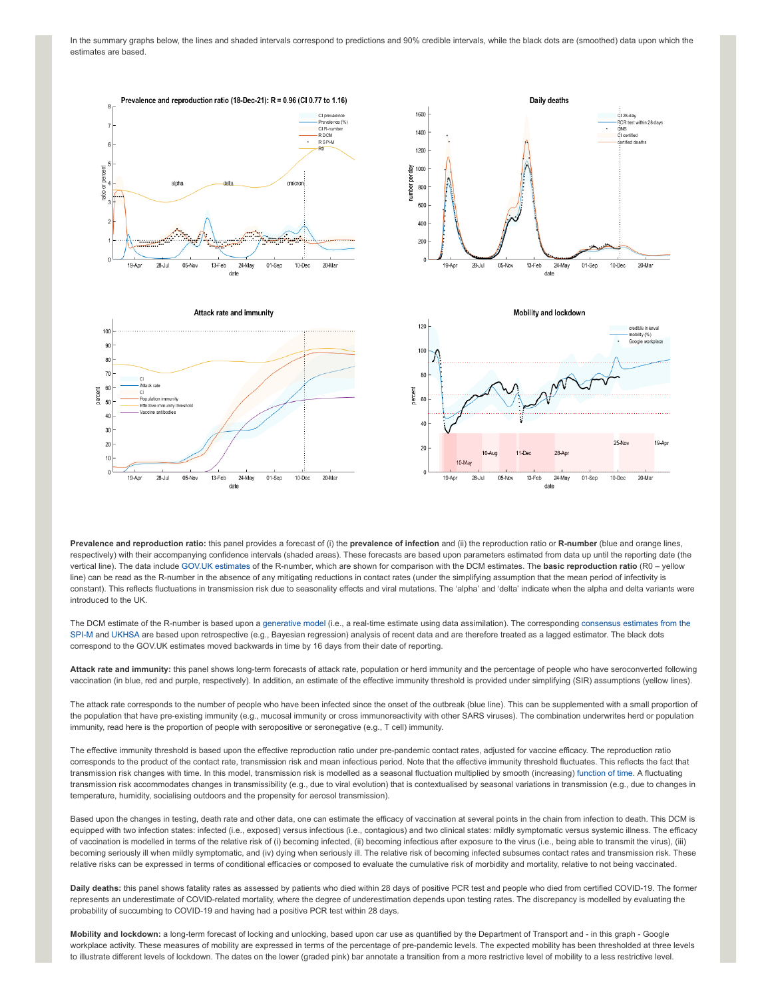In the summary graphs below, the lines and shaded intervals correspond to predictions and 90% credible intervals, while the black dots are (smoothed) data upon which the estimates are based.



**Prevalence and reproduction ratio:** this panel provides a forecast of (i) the **prevalence of infection** and (ii) the reproduction ratio or **R-number** (blue and orange lines, respectively) with their accompanying confidence intervals (shaded areas). These forecasts are based upon parameters estimated from data up until the reporting date (the vertical line). The data include [GOV.UK estimates](https://www.gov.uk/guidance/the-r-number-in-the-uk#latest-r-and-growth-rate) of the R-number, which are shown for comparison with the DCM estimates. The **basic reproduction ratio** (R0 – yellow line) can be read as the R-number in the absence of any mitigating reductions in contact rates (under the simplifying assumption that the mean period of infectivity is constant). This reflects fluctuations in transmission risk due to seasonality effects and viral mutations. The 'alpha' and 'delta' indicate when the alpha and delta variants were introduced to the UK.

[The DCM estimate of the R-number is based upon a generative model \(i.e., a real-time estimate using data assimilation\). The corresponding consensus estimates from the](https://www.gov.uk/guidance/the-r-number-in-the-uk#contents) SPI-M and [UKHSA](https://www.gov.uk/government/news/uk-health-security-agency-to-take-on-the-modelling-of-the-r-value-and-growth-rate) are based upon retrospective (e.g., Bayesian regression) analysis of recent data and are therefore treated as a lagged estimator. The black dots correspond to the GOV.UK estimates moved backwards in time by 16 days from their date of reporting.

**Attack rate and immunity:** this panel shows long-term forecasts of attack rate, population or herd immunity and the percentage of people who have seroconverted following vaccination (in blue, red and purple, respectively). In addition, an estimate of the effective immunity threshold is provided under simplifying (SIR) assumptions (yellow lines).

The attack rate corresponds to the number of people who have been infected since the onset of the outbreak (blue line). This can be supplemented with a small proportion of the population that have pre-existing immunity (e.g., mucosal immunity or cross immunoreactivity with other SARS viruses). The combination underwrites herd or population immunity, read here is the proportion of people with seropositive or seronegative (e.g., T cell) immunity.

The effective immunity threshold is based upon the effective reproduction ratio under pre-pandemic contact rates, adjusted for vaccine efficacy. The reproduction ratio corresponds to the product of the contact rate, transmission risk and mean infectious period. Note that the effective immunity threshold fluctuates. This reflects the fact that transmission risk changes with time. In this model, transmission risk is modelled as a seasonal fluctuation multiplied by smooth (increasing) [function of time.](https://www.medrxiv.org/content/10.1101/2021.01.10.21249520v1) A fluctuating transmission risk accommodates changes in transmissibility (e.g., due to viral evolution) that is contextualised by seasonal variations in transmission (e.g., due to changes in temperature, humidity, socialising outdoors and the propensity for aerosol transmission).

Based upon the changes in testing, death rate and other data, one can estimate the efficacy of vaccination at several points in the chain from infection to death. This DCM is equipped with two infection states: infected (i.e., exposed) versus infectious (i.e., contagious) and two clinical states: mildly symptomatic versus systemic illness. The efficacy of vaccination is modelled in terms of the relative risk of (i) becoming infected, (ii) becoming infectious after exposure to the virus (i.e., being able to transmit the virus), (iii) becoming seriously ill when mildly symptomatic, and (iv) dying when seriously ill. The relative risk of becoming infected subsumes contact rates and transmission risk. These relative risks can be expressed in terms of conditional efficacies or composed to evaluate the cumulative risk of morbidity and mortality, relative to not being vaccinated.

**Daily deaths:** this panel shows fatality rates as assessed by patients who died within 28 days of positive PCR test and people who died from certified COVID-19. The former represents an underestimate of COVID-related mortality, where the degree of underestimation depends upon testing rates. The discrepancy is modelled by evaluating the probability of succumbing to COVID-19 and having had a positive PCR test within 28 days.

**Mobility and lockdown:** a long-term forecast of locking and unlocking, based upon car use as quantified by the Department of Transport and - in this graph - Google workplace activity. These measures of mobility are expressed in terms of the percentage of pre-pandemic levels. The expected mobility has been thresholded at three levels to illustrate different levels of lockdown. The dates on the lower (graded pink) bar annotate a transition from a more restrictive level of mobility to a less restrictive level.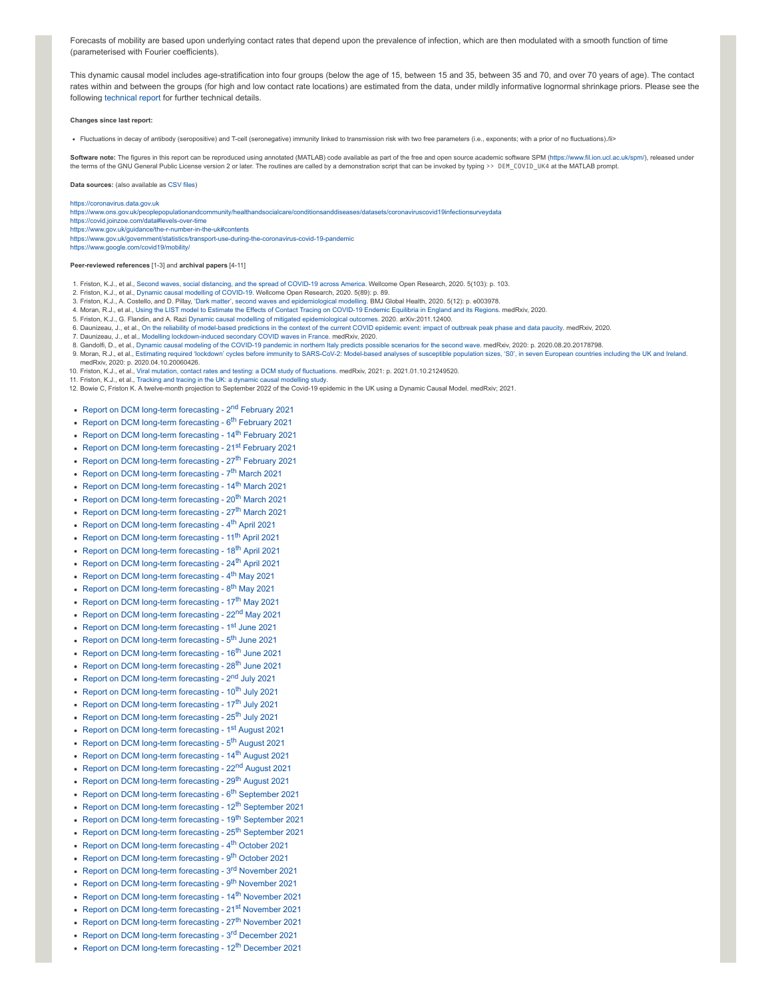Forecasts of mobility are based upon underlying contact rates that depend upon the prevalence of infection, which are then modulated with a smooth function of time (parameterised with Fourier coefficients).

This dynamic causal model includes age-stratification into four groups (below the age of 15, between 15 and 35, between 35 and 70, and over 70 years of age). The contact rates within and between the groups (for high and low contact rate locations) are estimated from the data, under mildly informative lognormal shrinkage priors. Please see the following [technical report](https://arxiv.org/abs/2011.12400) for further technical details.

## **Changes since last report:**

Fluctuations in decay of antibody (seropositive) and T-cell (seronegative) immunity linked to transmission risk with two free parameters (i.e., exponents; with a prior of no fluctuations)./li>

Software note: The figures in this report can be reproduced using annotated (MATLAB) code available as part of the free and open source academic software SPM (<https://www.fil.ion.ucl.ac.uk/spm/>), released under the terms of the GNU General Public License version 2 or later. The routines are called by a demonstration script that can be invoked by typing >> DEM\_COVID\_UK4 at the MATLAB prompt.

**Data sources:** (also available as [CSV](https://www.fil.ion.ucl.ac.uk/spm/covid-19/dashboard/data/data.zip) files)

### [https://coronavirus.data.gov.uk](https://coronavirus.data.gov.uk/)

<https://www.ons.gov.uk/peoplepopulationandcommunity/healthandsocialcare/conditionsanddiseases/datasets/coronaviruscovid19infectionsurveydata>

- <https://covid.joinzoe.com/data#levels-over-time>
- <https://www.gov.uk/guidance/the-r-number-in-the-uk#contents>
- <https://www.gov.uk/government/statistics/transport-use-during-the-coronavirus-covid-19-pandemic> <https://www.google.com/covid19/mobility/>

### **Peer-reviewed references** [1-3] and **archival papers** [4-11]

- 1. Friston, K.J., et al., Second waves, social [distancing,](https://wellcomeopenresearch.org/articles/5-103) and the spread of COVID-19 across America. Wellcome Open Research, 2020. 5(103): p. 103.
- 2. Friston, K.J., et al., Dynamic causal modelling of [COVID-19](https://wellcomeopenresearch.org/articles/5-89). Wellcome Open Research, 2020. 5(89): p. 89.
- 3. Friston, K.J., A. Costello, and D. Pillay, 'Dark matter', second waves and [epidemiological](https://gh.bmj.com/content/5/12/e003978) modelling. BMJ Global Health, 2020. 5(12): p. e003978.<br>4. Moran, R.J., et al., Using the LIST model to Estimate the Effects of C
- 
- 5. Friston, K.J., G. Flandin, and A. Razi Dynamic causal modelling of mitigated [epidemiological](https://arxiv.org/abs/2011.12400) outcomes. 2020. arXiv:2011.12400.
- 6. Daunizeau, J., et al., On the reliability of [model-based](https://www.medrxiv.org/content/10.1101/2020.04.24.20078485v1) predictions in the context of the current COVID epidemic event: impact of outbreak peak phase and data paucity. medRxiv, 2020.
- 7. Daunizeau, J., et al., Modelling [lockdown-induced](https://www.medrxiv.org/content/10.1101/2020.06.24.20139444v4) secondary COVID waves in France. medRxiv, 2020.
- 8. Gandolfi, D., et al., Dynamic causal modeling of the [COVID-19](https://www.medrxiv.org/content/10.1101/2020.08.20.20178798v1) pandemic in northern Italy predicts possible scenarios for the second wave. medRxiv, 2020: p. 2020.08.20.20178798.
- 9. Moran, R.J., et al., Estimating required 'lockdown' cycles before immunity to [SARS-CoV-2:](https://arxiv.org/abs/2004.05060) Model-based analyses of susceptible population sizes, 'S0', in seven European countries including the UK and Ireland. medRxiv, 2020: p. 2020.04.10.20060426.
- 10. Friston, K.J., et al., Viral mutation, contact rates and testing: a DCM study of [fluctuations](https://www.medrxiv.org/content/10.1101/2021.01.10.21249520v1). medRxiv, 2021: p. 2021.01.10.21249520.
- 11. Friston, K.J., et al., Tracking and tracing in the UK: a dynamic causal [modelling](https://arxiv.org/abs/2005.07994) study.
- 12. Bowie C, Friston K. A twelve-month projection to September 2022 of the Covid-19 epidemic in the UK using a Dynamic Causal Model. medRxiv; 2021.
- [Report on DCM long-term forecasting 2](https://www.fil.ion.ucl.ac.uk/spm/covid-19/forecasting/forecasting_020221.pdf)<sup>nd</sup> February 2021
- [Report on DCM long-term forecasting 6](https://www.fil.ion.ucl.ac.uk/spm/covid-19/forecasting/forecasting_060221.pdf)<sup>th</sup> February 2021
- [Report on DCM long-term forecasting 14](https://www.fil.ion.ucl.ac.uk/spm/covid-19/forecasting/forecasting_140221.pdf)<sup>th</sup> February 2021
- 
- [Report on DCM long-term forecasting 21](https://www.fil.ion.ucl.ac.uk/spm/covid-19/forecasting/forecasting_210221.pdf)st February 2021
- [Report on DCM long-term forecasting 27](https://www.fil.ion.ucl.ac.uk/spm/covid-19/forecasting/forecasting_270221.pdf)<sup>th</sup> February 2021
- [Report on DCM long-term forecasting 7](https://www.fil.ion.ucl.ac.uk/spm/covid-19/forecasting/forecasting_070321.pdf)<sup>th</sup> March 2021
- [Report on DCM long-term forecasting 14](https://www.fil.ion.ucl.ac.uk/spm/covid-19/forecasting/forecasting_140321.pdf)<sup>th</sup> March 2021
- [Report on DCM long-term forecasting 20](https://www.fil.ion.ucl.ac.uk/spm/covid-19/forecasting/forecasting_200321.pdf)<sup>th</sup> March 2021
- [Report on DCM long-term forecasting 27](https://www.fil.ion.ucl.ac.uk/spm/covid-19/forecasting/forecasting_270321.pdf)<sup>th</sup> March 2021
- [Report on DCM long-term forecasting 4](https://www.fil.ion.ucl.ac.uk/spm/covid-19/forecasting/forecasting_040421.pdf)<sup>th</sup> April 2021
- 
- [Report on DCM long-term forecasting 11](https://www.fil.ion.ucl.ac.uk/spm/covid-19/forecasting/forecasting_110421.pdf)<sup>th</sup> April 2021
- [Report on DCM long-term forecasting 18](https://www.fil.ion.ucl.ac.uk/spm/covid-19/forecasting/forecasting_180421.pdf)<sup>th</sup> April 2021
- [Report on DCM long-term forecasting 24](https://www.fil.ion.ucl.ac.uk/spm/covid-19/forecasting/forecasting_240421.pdf)<sup>th</sup> April 2021
- [Report on DCM long-term forecasting 4](https://www.fil.ion.ucl.ac.uk/spm/covid-19/forecasting/forecasting_040521.pdf)<sup>th</sup> May 2021
- [Report on DCM long-term forecasting 8](https://www.fil.ion.ucl.ac.uk/spm/covid-19/forecasting/forecasting_080521.pdf)<sup>th</sup> May 2021
- [Report on DCM long-term forecasting 17](https://www.fil.ion.ucl.ac.uk/spm/covid-19/forecasting/forecasting_170521.pdf)<sup>th</sup> May 2021
- [Report on DCM long-term forecasting 22](https://www.fil.ion.ucl.ac.uk/spm/covid-19/forecasting/forecasting_220521.pdf)<sup>nd</sup> May 2021
- [Report on DCM long-term forecasting 1](https://www.fil.ion.ucl.ac.uk/spm/covid-19/forecasting/forecasting_010621.pdf)<sup>st</sup> June 2021
- [Report on DCM long-term forecasting 5](https://www.fil.ion.ucl.ac.uk/spm/covid-19/forecasting/forecasting_050621.pdf)<sup>th</sup> June 2021
- [Report on DCM long-term forecasting 16](https://www.fil.ion.ucl.ac.uk/spm/covid-19/forecasting/forecasting_160621.pdf)<sup>th</sup> June 2021
- [Report on DCM long-term forecasting 28](https://www.fil.ion.ucl.ac.uk/spm/covid-19/forecasting/forecasting_280621.pdf)<sup>th</sup> June 2021
- 
- [Report on DCM long-term forecasting 2](https://www.fil.ion.ucl.ac.uk/spm/covid-19/forecasting/forecasting_020721.pdf)<sup>nd</sup> July 2021
- [Report on DCM long-term forecasting 10](https://www.fil.ion.ucl.ac.uk/spm/covid-19/forecasting/forecasting_100721.pdf)<sup>th</sup> July 2021
- [Report on DCM long-term forecasting 17](https://www.fil.ion.ucl.ac.uk/spm/covid-19/forecasting/forecasting_170721.pdf)<sup>th</sup> July 2021
- [Report on DCM long-term forecasting 25](https://www.fil.ion.ucl.ac.uk/spm/covid-19/forecasting/forecasting_250721.pdf)<sup>th</sup> July 2021
- [Report on DCM long-term forecasting 1](https://www.fil.ion.ucl.ac.uk/spm/covid-19/forecasting/forecasting_010821.pdf)st August 2021
- [Report on DCM long-term forecasting 5](https://www.fil.ion.ucl.ac.uk/spm/covid-19/forecasting/forecasting_050821.pdf)<sup>th</sup> August 2021
- [Report on DCM long-term forecasting 14](https://www.fil.ion.ucl.ac.uk/spm/covid-19/forecasting/forecasting_140821.pdf)<sup>th</sup> August 2021
- [Report on DCM long-term forecasting 22](https://www.fil.ion.ucl.ac.uk/spm/covid-19/forecasting/forecasting_220821.pdf)<sup>nd</sup> August 2021
- [Report on DCM long-term forecasting 29](https://www.fil.ion.ucl.ac.uk/spm/covid-19/forecasting/forecasting_290821.pdf)<sup>th</sup> August 2021
- [Report on DCM long-term forecasting 6](https://www.fil.ion.ucl.ac.uk/spm/covid-19/forecasting/forecasting_060921.pdf)<sup>th</sup> September 2021
- [Report on DCM long-term forecasting 12](https://www.fil.ion.ucl.ac.uk/spm/covid-19/forecasting/forecasting_120921.pdf)<sup>th</sup> September 2021
- [Report on DCM long-term forecasting 19](https://www.fil.ion.ucl.ac.uk/spm/covid-19/forecasting/forecasting_190921.pdf)<sup>th</sup> September 2021
- [Report on DCM long-term forecasting 25](https://www.fil.ion.ucl.ac.uk/spm/covid-19/forecasting/forecasting_250921.pdf)<sup>th</sup> September 2021
- [Report on DCM long-term forecasting 4](https://www.fil.ion.ucl.ac.uk/spm/covid-19/forecasting/forecasting_041021.pdf)<sup>th</sup> October 2021
- [Report on DCM long-term forecasting 9](https://www.fil.ion.ucl.ac.uk/spm/covid-19/forecasting/forecasting_091021.pdf)<sup>th</sup> October 2021
- 
- [Report on DCM long-term forecasting 3](https://www.fil.ion.ucl.ac.uk/spm/covid-19/forecasting/forecasting_031121.pdf)<sup>rd</sup> November 2021
- [Report on DCM long-term forecasting 9](https://www.fil.ion.ucl.ac.uk/spm/covid-19/forecasting/forecasting_091121.pdf)<sup>th</sup> November 2021
- [Report on DCM long-term forecasting 14](https://www.fil.ion.ucl.ac.uk/spm/covid-19/forecasting/forecasting_141121.pdf)<sup>th</sup> November 2021 • [Report on DCM long-term forecasting - 21](https://www.fil.ion.ucl.ac.uk/spm/covid-19/forecasting/forecasting_211121.pdf)st November 2021
- 
- [Report on DCM long-term forecasting 27](https://www.fil.ion.ucl.ac.uk/spm/covid-19/forecasting/forecasting_271121.pdf)<sup>th</sup> November 2021
- [Report on DCM long-term forecasting 3](https://www.fil.ion.ucl.ac.uk/spm/covid-19/forecasting/forecasting_031221.pdf)<sup>rd</sup> December 2021
- [Report on DCM long-term forecasting 12](https://www.fil.ion.ucl.ac.uk/spm/covid-19/forecasting/forecasting_121221.pdf)<sup>th</sup> December 2021